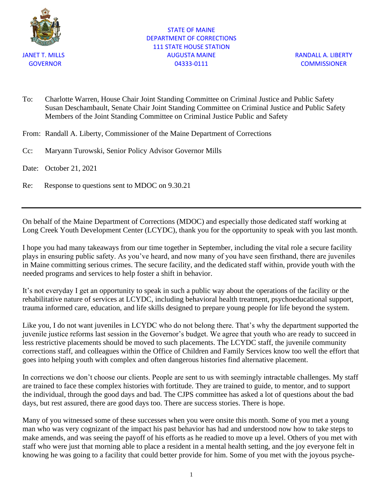

### STATE OF MAINE DEPARTMENT OF CORRECTIONS 111 STATE HOUSE STATION JANET T. MILLS AUGUSTA MAINE RANDALL A. LIBERTY GOVERNOR 04333-0111 COMMISSIONER

To: Charlotte Warren, House Chair Joint Standing Committee on Criminal Justice and Public Safety Susan Deschambault, Senate Chair Joint Standing Committee on Criminal Justice and Public Safety Members of the Joint Standing Committee on Criminal Justice Public and Safety

From: Randall A. Liberty, Commissioner of the Maine Department of Corrections

Cc: Maryann Turowski, Senior Policy Advisor Governor Mills

Date: October 21, 2021

Re: Response to questions sent to MDOC on 9.30.21

On behalf of the Maine Department of Corrections (MDOC) and especially those dedicated staff working at Long Creek Youth Development Center (LCYDC), thank you for the opportunity to speak with you last month.

I hope you had many takeaways from our time together in September, including the vital role a secure facility plays in ensuring public safety. As you've heard, and now many of you have seen firsthand, there are juveniles in Maine committing serious crimes. The secure facility, and the dedicated staff within, provide youth with the needed programs and services to help foster a shift in behavior.

It's not everyday I get an opportunity to speak in such a public way about the operations of the facility or the rehabilitative nature of services at LCYDC, including behavioral health treatment, psychoeducational support, trauma informed care, education, and life skills designed to prepare young people for life beyond the system.

Like you, I do not want juveniles in LCYDC who do not belong there. That's why the department supported the juvenile justice reforms last session in the Governor's budget. We agree that youth who are ready to succeed in less restrictive placements should be moved to such placements. The LCYDC staff, the juvenile community corrections staff, and colleagues within the Office of Children and Family Services know too well the effort that goes into helping youth with complex and often dangerous histories find alternative placement.

In corrections we don't choose our clients. People are sent to us with seemingly intractable challenges. My staff are trained to face these complex histories with fortitude. They are trained to guide, to mentor, and to support the individual, through the good days and bad. The CJPS committee has asked a lot of questions about the bad days, but rest assured, there are good days too. There are success stories. There is hope.

Many of you witnessed some of these successes when you were onsite this month. Some of you met a young man who was very cognizant of the impact his past behavior has had and understood now how to take steps to make amends, and was seeing the payoff of his efforts as he readied to move up a level. Others of you met with staff who were just that morning able to place a resident in a mental health setting, and the joy everyone felt in knowing he was going to a facility that could better provide for him. Some of you met with the joyous psyche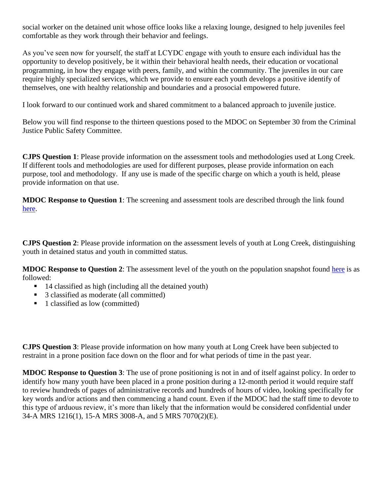social worker on the detained unit whose office looks like a relaxing lounge, designed to help juveniles feel comfortable as they work through their behavior and feelings.

As you've seen now for yourself, the staff at LCYDC engage with youth to ensure each individual has the opportunity to develop positively, be it within their behavioral health needs, their education or vocational programming, in how they engage with peers, family, and within the community. The juveniles in our care require highly specialized services, which we provide to ensure each youth develops a positive identify of themselves, one with healthy relationship and boundaries and a prosocial empowered future.

I look forward to our continued work and shared commitment to a balanced approach to juvenile justice.

Below you will find response to the thirteen questions posed to the MDOC on September 30 from the Criminal Justice Public Safety Committee.

**CJPS Question 1**: Please provide information on the assessment tools and methodologies used at Long Creek. If different tools and methodologies are used for different purposes, please provide information on each purpose, tool and methodology. If any use is made of the specific charge on which a youth is held, please provide information on that use.

**MDOC Response to Question 1**: The screening and assessment tools are described through the link found [here.](https://stateofmaine-my.sharepoint.com/personal/anna_black_maine_gov/Documents/OldHomeDirectory/Juvenile%20Services%20Reorg%20September%202021/DJS%20Screening%20and%20Assessment%20tools.pdf)

**CJPS Question 2**: Please provide information on the assessment levels of youth at Long Creek, distinguishing youth in detained status and youth in committed status.

**MDOC Response to Question 2**: The assessment level of the youth on the population snapshot found [here](https://stateofmaine-my.sharepoint.com/personal/anna_black_maine_gov/Documents/OldHomeDirectory/Juvenile%20Services%20Reorg%20September%202021/CJPS_Monthly_Snapshot_September_2021.pdf) is as followed:

- 14 classified as high (including all the detained youth)
- 3 classified as moderate (all committed)
- 1 classified as low (committed)

**CJPS Question 3**: Please provide information on how many youth at Long Creek have been subjected to restraint in a prone position face down on the floor and for what periods of time in the past year.

**MDOC Response to Question 3**: The use of prone positioning is not in and of itself against policy. In order to identify how many youth have been placed in a prone position during a 12-month period it would require staff to review hundreds of pages of administrative records and hundreds of hours of video, looking specifically for key words and/or actions and then commencing a hand count. Even if the MDOC had the staff time to devote to this type of arduous review, it's more than likely that the information would be considered confidential under 34-A MRS 1216(1), 15-A MRS 3008-A, and 5 MRS 7070(2)(E).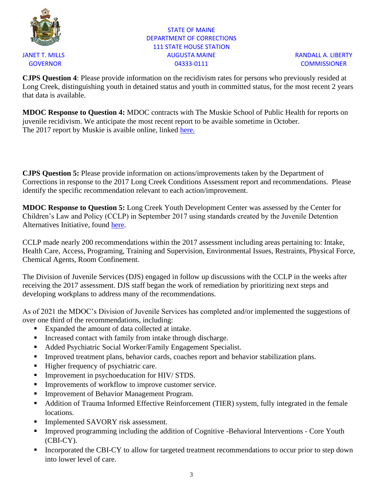

## STATE OF MAINE DEPARTMENT OF CORRECTIONS 111 STATE HOUSE STATION JANET T. MILLS AUGUSTA MAINE RANDALL A. LIBERTY GOVERNOR 04333-0111 COMMISSIONER

**CJPS Question 4**: Please provide information on the recidivism rates for persons who previously resided at Long Creek, distinguishing youth in detained status and youth in committed status, for the most recent 2 years that data is available.

**MDOC Response to Question 4:** MDOC contracts with The Muskie School of Public Health for reports on juvenile recidivism. We anticipate the most recent report to be avaible sometime in October. The 2017 report by Muskie is avaible online, linked [here.](https://www.maine.gov/corrections/sites/maine.gov.corrections/files/inline-files/2017%20Youth%20Recidivism_%20Diversion%20to%20Discharge%20in%20Maines%20Juvenile.pdf)

**CJPS Question 5:** Please provide information on actions/improvements taken by the Department of Corrections in response to the 2017 Long Creek Conditions Assessment report and recommendations. Please identify the specific recommendation relevant to each action/improvement.

**MDOC Response to Question 5:** Long Creek Youth Development Center was assessed by the Center for Children's Law and Policy (CCLP) in September 2017 using standards created by the Juvenile Detention Alternatives Initiative, found [here.](https://assets.aecf.org/m/resourcedoc/aecf-jdaidetentionfacilityselfassessment-2006.pdf)

CCLP made nearly 200 recommendations within the 2017 assessment including areas pertaining to: Intake, Health Care, Access, Programing, Training and Supervision, Environmental Issues, Restraints, Physical Force, Chemical Agents, Room Confinement.

The Division of Juvenile Services (DJS) engaged in follow up discussions with the CCLP in the weeks after receiving the 2017 assessment. DJS staff began the work of remediation by prioritizing next steps and developing workplans to address many of the recommendations.

As of 2021 the MDOC's Division of Juvenile Services has completed and/or implemented the suggestions of over one third of the recommendations, including:

- Expanded the amount of data collected at intake.
- Increased contact with family from intake through discharge.
- Added Psychiatric Social Worker/Family Engagement Specialist.
- **Improved treatment plans, behavior cards, coaches report and behavior stabilization plans.**
- Higher frequency of psychiatric care.
- **•** Improvement in psychoeducation for HIV/ STDS.
- **Improvements of workflow to improve customer service.**
- Improvement of Behavior Management Program.
- Addition of Trauma Informed Effective Reinforcement (TIER) system, fully integrated in the female locations.
- Implemented SAVORY risk assessment.
- Improved programming including the addition of Cognitive -Behavioral Interventions Core Youth (CBI-CY).
- **EXECUTE:** Incorporated the CBI-CY to allow for targeted treatment recommendations to occur prior to step down into lower level of care.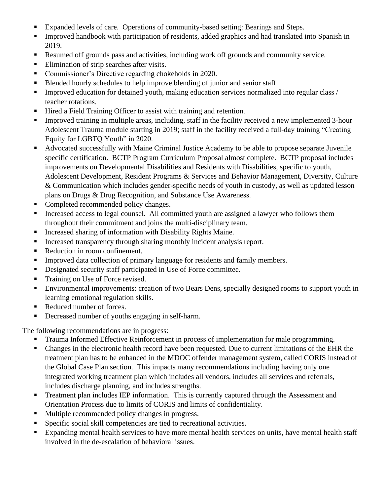- Expanded levels of care. Operations of community-based setting: Bearings and Steps.
- **EXECUTE:** Improved handbook with participation of residents, added graphics and had translated into Spanish in 2019.
- Resumed off grounds pass and activities, including work off grounds and community service.
- Elimination of strip searches after visits.
- Commissioner's Directive regarding chokeholds in 2020.
- Blended hourly schedules to help improve blending of junior and senior staff.
- **•** Improved education for detained youth, making education services normalized into regular class / teacher rotations.
- Hired a Field Training Officer to assist with training and retention.
- Improved training in multiple areas, including, staff in the facility received a new implemented 3-hour Adolescent Trauma module starting in 2019; staff in the facility received a full-day training "Creating Equity for LGBTQ Youth" in 2020.
- Advocated successfully with Maine Criminal Justice Academy to be able to propose separate Juvenile specific certification. BCTP Program Curriculum Proposal almost complete. BCTP proposal includes improvements on Developmental Disabilities and Residents with Disabilities, specific to youth, Adolescent Development, Resident Programs & Services and Behavior Management, Diversity, Culture & Communication which includes gender-specific needs of youth in custody, as well as updated lesson plans on Drugs & Drug Recognition, and Substance Use Awareness.
- Completed recommended policy changes.
- Increased access to legal counsel. All committed youth are assigned a lawyer who follows them throughout their commitment and joins the multi-disciplinary team.
- **EXECUTE:** Increased sharing of information with Disability Rights Maine.
- Increased transparency through sharing monthly incident analysis report.
- Reduction in room confinement.
- **EXECUTE:** Improved data collection of primary language for residents and family members.
- Designated security staff participated in Use of Force committee.
- Training on Use of Force revised.
- **Environmental improvements: creation of two Bears Dens, specially designed rooms to support youth in** learning emotional regulation skills.
- Reduced number of forces.
- Decreased number of youths engaging in self-harm.

The following recommendations are in progress:

- Trauma Informed Effective Reinforcement in process of implementation for male programming.
- Changes in the electronic health record have been requested. Due to current limitations of the EHR the treatment plan has to be enhanced in the MDOC offender management system, called CORIS instead of the Global Case Plan section. This impacts many recommendations including having only one integrated working treatment plan which includes all vendors, includes all services and referrals, includes discharge planning, and includes strengths.
- **•** Treatment plan includes IEP information. This is currently captured through the Assessment and Orientation Process due to limits of CORIS and limits of confidentiality.
- Multiple recommended policy changes in progress.
- Specific social skill competencies are tied to recreational activities.
- Expanding mental health services to have more mental health services on units, have mental health staff involved in the de-escalation of behavioral issues.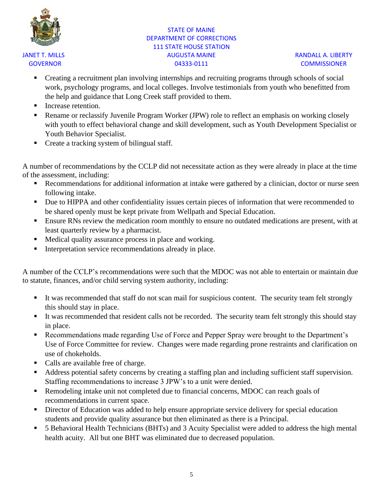

# STATE OF MAINE DEPARTMENT OF CORRECTIONS 111 STATE HOUSE STATION JANET T. MILLS AUGUSTA MAINE RANDALL A. LIBERTY GOVERNOR COMMISSIONER COMMISSIONER

- Creating a recruitment plan involving internships and recruiting programs through schools of social work, psychology programs, and local colleges. Involve testimonials from youth who benefitted from the help and guidance that Long Creek staff provided to them.
- Increase retention.
- **Example 1** Rename or reclassify Juvenile Program Worker (JPW) role to reflect an emphasis on working closely with youth to effect behavioral change and skill development, such as Youth Development Specialist or Youth Behavior Specialist.
- Create a tracking system of bilingual staff.

A number of recommendations by the CCLP did not necessitate action as they were already in place at the time of the assessment, including:

- Recommendations for additional information at intake were gathered by a clinician, doctor or nurse seen following intake.
- Due to HIPPA and other confidentiality issues certain pieces of information that were recommended to be shared openly must be kept private from Wellpath and Special Education.
- **Ensure RNs review the medication room monthly to ensure no outdated medications are present, with at** least quarterly review by a pharmacist.
- Medical quality assurance process in place and working.
- Interpretation service recommendations already in place.

A number of the CCLP's recommendations were such that the MDOC was not able to entertain or maintain due to statute, finances, and/or child serving system authority, including:

- It was recommended that staff do not scan mail for suspicious content. The security team felt strongly this should stay in place.
- It was recommended that resident calls not be recorded. The security team felt strongly this should stay in place.
- Recommendations made regarding Use of Force and Pepper Spray were brought to the Department's Use of Force Committee for review. Changes were made regarding prone restraints and clarification on use of chokeholds.
- Calls are available free of charge.
- Address potential safety concerns by creating a staffing plan and including sufficient staff supervision. Staffing recommendations to increase 3 JPW's to a unit were denied.
- Remodeling intake unit not completed due to financial concerns, MDOC can reach goals of recommendations in current space.
- **EXECUTE:** Director of Education was added to help ensure appropriate service delivery for special education students and provide quality assurance but then eliminated as there is a Principal.
- 5 Behavioral Health Technicians (BHTs) and 3 Acuity Specialist were added to address the high mental health acuity. All but one BHT was eliminated due to decreased population.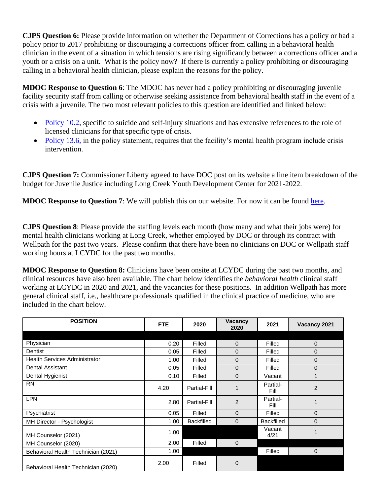**CJPS Question 6:** Please provide information on whether the Department of Corrections has a policy or had a policy prior to 2017 prohibiting or discouraging a corrections officer from calling in a behavioral health clinician in the event of a situation in which tensions are rising significantly between a corrections officer and a youth or a crisis on a unit. What is the policy now? If there is currently a policy prohibiting or discouraging calling in a behavioral health clinician, please explain the reasons for the policy.

**MDOC Response to Question 6**: The MDOC has never had a policy prohibiting or discouraging juvenile facility security staff from calling or otherwise seeking assistance from behavioral health staff in the event of a crisis with a juvenile. The two most relevant policies to this question are identified and linked below:

- [Policy 10.2,](https://stateofmaine-my.sharepoint.com/personal/anna_black_maine_gov/Documents/OldHomeDirectory/Juvenile%20Services%20Reorg%20September%202021/Policy%2010.2%20(JF),%20Suicide%20and%20Self-Injury%20Prevention.pdf) specific to suicide and self-injury situations and has extensive references to the role of licensed clinicians for that specific type of crisis.
- [Policy 13.6,](https://stateofmaine-my.sharepoint.com/personal/anna_black_maine_gov/Documents/OldHomeDirectory/Juvenile%20Services%20Reorg%20September%202021/Policy%2013.6%20(JF),%20Mental%20Health%20Services.pdf) in the policy statement, requires that the facility's mental health program include crisis intervention.

**CJPS Question 7:** Commissioner Liberty agreed to have DOC post on its website a line item breakdown of the budget for Juvenile Justice including Long Creek Youth Development Center for 2021-2022.

**MDOC Response to Question 7**: We will publish this on our website. For now it can be found [here.](https://stateofmaine-my.sharepoint.com/personal/anna_black_maine_gov/Documents/OldHomeDirectory/Legislature--130th,%202nd%20Session/MDOC%20budget%20for%20website%20October%202021.xlsx)

**CJPS Question 8**: Please provide the staffing levels each month (how many and what their jobs were) for mental health clinicians working at Long Creek, whether employed by DOC or through its contract with Wellpath for the past two years. Please confirm that there have been no clinicians on DOC or Wellpath staff working hours at LCYDC for the past two months.

**MDOC Response to Question 8:** Clinicians have been onsite at LCYDC during the past two months, and clinical resources have also been available. The chart below identifies the *behavioral health* clinical staff working at LCYDC in 2020 and 2021, and the vacancies for these positions. In addition Wellpath has more general clinical staff, i.e., healthcare professionals qualified in the clinical practice of medicine, who are included in the chart below.

| <b>POSITION</b>                      | <b>FTE</b> | 2020              | <b>Vacancy</b><br>2020 | 2021              | Vacancy 2021   |
|--------------------------------------|------------|-------------------|------------------------|-------------------|----------------|
|                                      |            |                   |                        |                   |                |
| Physician                            | 0.20       | Filled            | 0                      | Filled            | $\mathbf 0$    |
| Dentist                              | 0.05       | Filled            | 0                      | Filled            | $\mathbf 0$    |
| <b>Health Services Administrator</b> | 1.00       | Filled            | $\mathbf 0$            | Filled            | $\mathbf 0$    |
| Dental Assistant                     | 0.05       | Filled            | $\mathbf 0$            | Filled            | $\mathbf 0$    |
| Dental Hygienist                     | 0.10       | Filled            | $\Omega$               | Vacant            |                |
| <b>RN</b>                            | 4.20       | Partial-Fill      | 1                      | Partial-<br>Fill  | $\overline{2}$ |
| <b>LPN</b>                           | 2.80       | Partial-Fill      | $\overline{2}$         | Partial-<br>Fill  |                |
| Psychiatrist                         | 0.05       | Filled            | $\mathbf 0$            | Filled            | $\Omega$       |
| MH Director - Psychologist           | 1.00       | <b>Backfilled</b> | $\Omega$               | <b>Backfilled</b> | $\Omega$       |
| MH Counselor (2021)                  | 1.00       |                   |                        | Vacant<br>4/21    |                |
| MH Counselor (2020)                  | 2.00       | Filled            | $\Omega$               |                   |                |
| Behavioral Health Technician (2021)  | 1.00       |                   |                        | Filled            | $\mathbf 0$    |
| Behavioral Health Technician (2020)  | 2.00       | Filled            | $\mathbf 0$            |                   |                |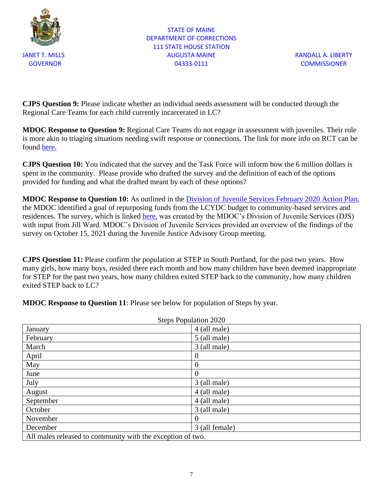

STATE OF MAINE DEPARTMENT OF CORRECTIONS 111 STATE HOUSE STATION JANET T. MILLS AUGUSTA MAINE RANDALL A. LIBERTY GOVERNOR COMMISSIONER COMMISSIONER

**CJPS Question 9:** Please indicate whether an individual needs assessment will be conducted through the Regional Care Teams for each child currently incarcerated in LC?

**MDOC Response to Question 9:** Regional Care Teams do not engage in assessment with juveniles. Their role is more akin to triaging situations needing swift response or connections. The link for more info on RCT can be found [here.](https://irp-cdn.multiscreensite.com/de726780/files/uploaded/REGIONAL%20CARE%20TEAMS%20Info%20Sheet%20FINAL%20Sept%202020.pdf)

**CJPS Question 10:** You indicated that the survey and the Task Force will inform how the 6 million dollars is spent in the community. Please provide who drafted the survey and the definition of each of the options provided for funding and what the drafted meant by each of these options?

**MDOC Response to Question 10:** As outlined in the [Division of Juvenile Services February 2020 Action Plan,](https://stateofmaine-my.sharepoint.com/personal/anna_black_maine_gov/Documents/OldHomeDirectory/Legislature--130th,%201st%20session/Juvenile%20Services%20Plan/DJS%20Action%20Plan.pdf) the MDOC identified a goal of repurposing funds from the LCYDC budget to community-based services and residences. The survey, which is linked [here,](https://stateofmaine-my.sharepoint.com/personal/anna_black_maine_gov/Documents/OldHomeDirectory/Juvenile%20Services%20Reorg%20September%202021/DJS%20and%20JJAG%20Survey%202021.pdf) was created by the MDOC's Division of Juvenile Services (DJS) with input from Jill Ward. MDOC's Division of Juvenile Services provided an overview of the findings of the survey on October 15, 2021 during the Juvenile Justice Advisory Group meeting.

**CJPS Question 11:** Please confirm the population at STEP in South Portland, for the past two years. How many girls, how many boys, resided there each month and how many children have been deemed inappropriate for STEP for the past two years, how many children exited STEP back to the community, how many children exited STEP back to LC?

**MDOC Response to Question 11**: Please see below for population of Steps by year.

| <b>Steps Population 2020</b>                               |                |  |
|------------------------------------------------------------|----------------|--|
| January                                                    | 4 (all male)   |  |
| February                                                   | 5 (all male)   |  |
| March                                                      | 3 (all male)   |  |
| April                                                      | $\theta$       |  |
| May                                                        | $\theta$       |  |
| June                                                       | $\overline{0}$ |  |
| July                                                       | 3 (all male)   |  |
| August                                                     | 4 (all male)   |  |
| September                                                  | 4 (all male)   |  |
| October                                                    | 3 (all male)   |  |
| November                                                   | $\theta$       |  |
| December                                                   | 3 (all female) |  |
| All males released to community with the exception of two. |                |  |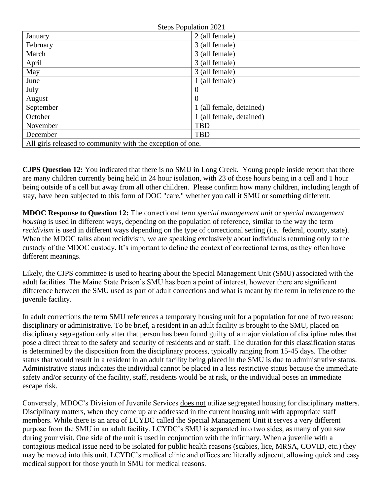| <b>Steps Population 2021</b>                               |                          |  |
|------------------------------------------------------------|--------------------------|--|
| January                                                    | 2 (all female)           |  |
| February                                                   | 3 (all female)           |  |
| March                                                      | 3 (all female)           |  |
| April                                                      | 3 (all female)           |  |
| May                                                        | 3 (all female)           |  |
| June                                                       | 1 (all female)           |  |
| July                                                       | $\theta$                 |  |
| August                                                     | $\theta$                 |  |
| September                                                  | 1 (all female, detained) |  |
| October                                                    | 1 (all female, detained) |  |
| November                                                   | <b>TBD</b>               |  |
| December                                                   | <b>TBD</b>               |  |
| All girls released to community with the exception of one. |                          |  |

**CJPS Question 12:** You indicated that there is no SMU in Long Creek. Young people inside report that there are many children currently being held in 24 hour isolation, with 23 of those hours being in a cell and 1 hour being outside of a cell but away from all other children. Please confirm how many children, including length of stay, have been subjected to this form of DOC "care," whether you call it SMU or something different.

**MDOC Response to Question 12:** The correctional term *special management unit* or *special management housing* is used in different ways, depending on the population of reference, similar to the way the term *recidivism* is used in different ways depending on the type of correctional setting (i.e. federal, county, state). When the MDOC talks about recidivism, we are speaking exclusively about individuals returning only to the custody of the MDOC custody. It's important to define the context of correctional terms, as they often have different meanings.

Likely, the CJPS committee is used to hearing about the Special Management Unit (SMU) associated with the adult facilities. The Maine State Prison's SMU has been a point of interest, however there are significant difference between the SMU used as part of adult corrections and what is meant by the term in reference to the juvenile facility.

In adult corrections the term SMU references a temporary housing unit for a population for one of two reason: disciplinary or administrative. To be brief, a resident in an adult facility is brought to the SMU, placed on disciplinary segregation only after that person has been found guilty of a major violation of discipline rules that pose a direct threat to the safety and security of residents and or staff. The duration for this classification status is determined by the disposition from the disciplinary process, typically ranging from 15-45 days. The other status that would result in a resident in an adult facility being placed in the SMU is due to administrative status. Administrative status indicates the individual cannot be placed in a less restrictive status because the immediate safety and/or security of the facility, staff, residents would be at risk, or the individual poses an immediate escape risk.

Conversely, MDOC's Division of Juvenile Services does not utilize segregated housing for disciplinary matters. Disciplinary matters, when they come up are addressed in the current housing unit with appropriate staff members. While there is an area of LCYDC called the Special Management Unit it serves a very different purpose from the SMU in an adult facility. LCYDC's SMU is separated into two sides, as many of you saw during your visit. One side of the unit is used in conjunction with the infirmary. When a juvenile with a contagious medical issue need to be isolated for public health reasons (scabies, lice, MRSA, COVID, etc.) they may be moved into this unit. LCYDC's medical clinic and offices are literally adjacent, allowing quick and easy medical support for those youth in SMU for medical reasons.